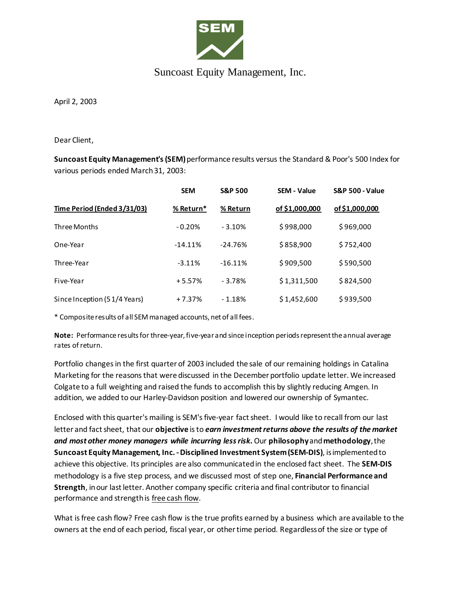

## Suncoast Equity Management, Inc.

April 2, 2003

Dear Client,

**Suncoast Equity Management's (SEM)**performance results versus the Standard & Poor's 500 Index for various periods ended March 31, 2003:

|                              | <b>SEM</b> | <b>S&amp;P 500</b> | <b>SEM - Value</b> | <b>S&amp;P 500 - Value</b> |
|------------------------------|------------|--------------------|--------------------|----------------------------|
| Time Period (Ended 3/31/03)  | % Return*  | % Return           | of \$1,000,000     | of \$1,000,000             |
| Three Months                 | $-0.20%$   | $-3.10%$           | \$998,000          | \$969,000                  |
| One-Year                     | $-14.11%$  | $-24.76%$          | \$858,900          | \$752,400                  |
| Three-Year                   | $-3.11%$   | $-16.11%$          | \$909,500          | \$590,500                  |
| Five-Year                    | $+5.57%$   | $-3.78%$           | \$1,311,500        | \$824,500                  |
| Since Inception (51/4 Years) | $+7.37%$   | $-1.18%$           | \$1,452,600        | \$939,500                  |

\* Composite results of all SEM managed accounts, net of all fees.

**Note:** Performance results for three-year, five-year and since inception periods represent the annual average rates of return.

Portfolio changes in the first quarter of 2003 included the sale of our remaining holdings in Catalina Marketing for the reasons that were discussed in the December portfolio update letter. We increased Colgate to a full weighting and raised the funds to accomplish this by slightly reducing Amgen. In addition, we added to our Harley-Davidson position and lowered our ownership of Symantec.

Enclosed with this quarter's mailing is SEM's five-year fact sheet. I would like to recall from our last letter and fact sheet, that our **objective** is to *earn investment returns above the results of the market and most other money managers while incurring less risk.*Our **philosophy**and **methodology**, the **Suncoast Equity Management, Inc. -Disciplined Investment System (SEM-DIS)**, is implemented to achieve this objective. Its principles are also communicated in the enclosed fact sheet. The **SEM-DIS** methodology is a five step process, and we discussed most of step one, **Financial Performance and Strength**, in our last letter. Another company specific criteria and final contributor to financial performance and strength is free cash flow.

What is free cash flow? Free cash flow is the true profits earned by a business which are available to the owners at the end of each period, fiscal year, or other time period. Regardless of the size or type of